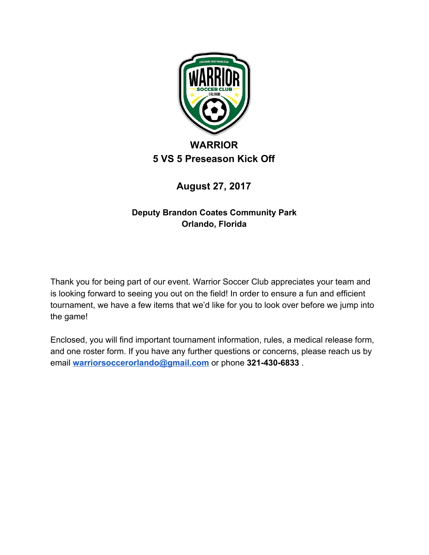

# **5 VS 5 Preseason Kick Off**

# **August 27, 2017**

# **Deputy Brandon Coates Community Park Orlando, Florida**

Thank you for being part of our event. Warrior Soccer Club appreciates your team and is looking forward to seeing you out on the field! In order to ensure a fun and efficient tournament, we have a few items that we'd like for you to look over before we jump into the game!

Enclosed, you will find important tournament information, rules, a medical release form, and one roster form. If you have any further questions or concerns, please reach us by email **[warriorsoccerorlando@gmail.com](mailto:warriorsoccerorlando@gmail.com)** or phone **321-430-6833** .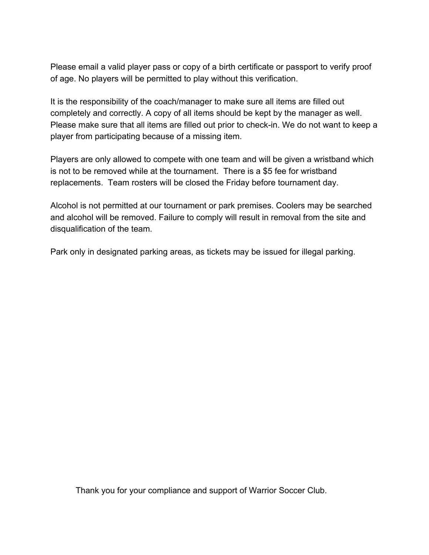Please email a valid player pass or copy of a birth certificate or passport to verify proof of age. No players will be permitted to play without this verification.

It is the responsibility of the coach/manager to make sure all items are filled out completely and correctly. A copy of all items should be kept by the manager as well. Please make sure that all items are filled out prior to check-in. We do not want to keep a player from participating because of a missing item.

Players are only allowed to compete with one team and will be given a wristband which is not to be removed while at the tournament. There is a \$5 fee for wristband replacements. Team rosters will be closed the Friday before tournament day.

Alcohol is not permitted at our tournament or park premises. Coolers may be searched and alcohol will be removed. Failure to comply will result in removal from the site and disqualification of the team.

Park only in designated parking areas, as tickets may be issued for illegal parking.

Thank you for your compliance and support of Warrior Soccer Club.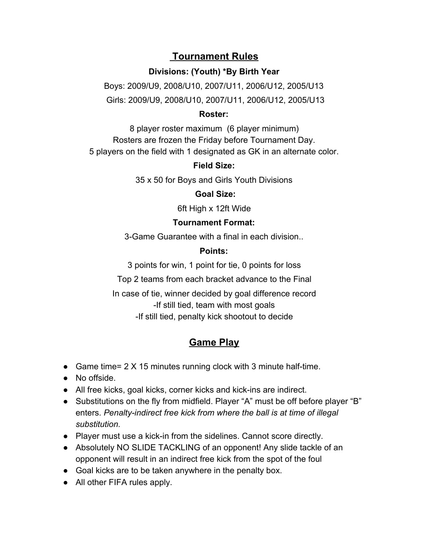# **Tournament Rules**

### **Divisions: (Youth) \*By Birth Year**

Boys: 2009/U9, 2008/U10, 2007/U11, 2006/U12, 2005/U13 Girls: 2009/U9, 2008/U10, 2007/U11, 2006/U12, 2005/U13

#### **Roster:**

8 player roster maximum (6 player minimum) Rosters are frozen the Friday before Tournament Day. 5 players on the field with 1 designated as GK in an alternate color.

### **Field Size:**

35 x 50 for Boys and Girls Youth Divisions

#### **Goal Size:**

6ft High x 12ft Wide

#### **Tournament Format:**

3-Game Guarantee with a final in each division..

#### **Points:**

3 points for win, 1 point for tie, 0 points for loss

Top 2 teams from each bracket advance to the Final

In case of tie, winner decided by goal difference record -If still tied, team with most goals -If still tied, penalty kick shootout to decide

# **Game Play**

- Game time= 2 X 15 minutes running clock with 3 minute half-time.
- No offside.
- All free kicks, goal kicks, corner kicks and kick-ins are indirect.
- Substitutions on the fly from midfield. Player "A" must be off before player "B" enters. *Penalty-indirect free kick from where the ball is at time of illegal substitution.*
- Player must use a kick-in from the sidelines. Cannot score directly.
- Absolutely NO SLIDE TACKLING of an opponent! Any slide tackle of an opponent will result in an indirect free kick from the spot of the foul
- Goal kicks are to be taken anywhere in the penalty box.
- All other FIFA rules apply.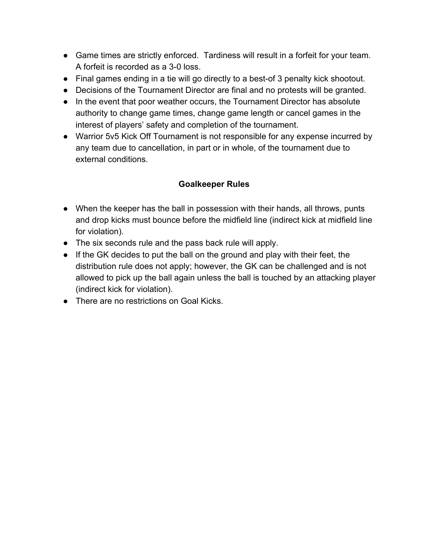- Game times are strictly enforced. Tardiness will result in a forfeit for your team. A forfeit is recorded as a 3-0 loss.
- Final games ending in a tie will go directly to a best-of 3 penalty kick shootout.
- Decisions of the Tournament Director are final and no protests will be granted.
- In the event that poor weather occurs, the Tournament Director has absolute authority to change game times, change game length or cancel games in the interest of players' safety and completion of the tournament.
- Warrior 5v5 Kick Off Tournament is not responsible for any expense incurred by any team due to cancellation, in part or in whole, of the tournament due to external conditions.

## **Goalkeeper Rules**

- When the keeper has the ball in possession with their hands, all throws, punts and drop kicks must bounce before the midfield line (indirect kick at midfield line for violation).
- The six seconds rule and the pass back rule will apply.
- If the GK decides to put the ball on the ground and play with their feet, the distribution rule does not apply; however, the GK can be challenged and is not allowed to pick up the ball again unless the ball is touched by an attacking player (indirect kick for violation).
- There are no restrictions on Goal Kicks.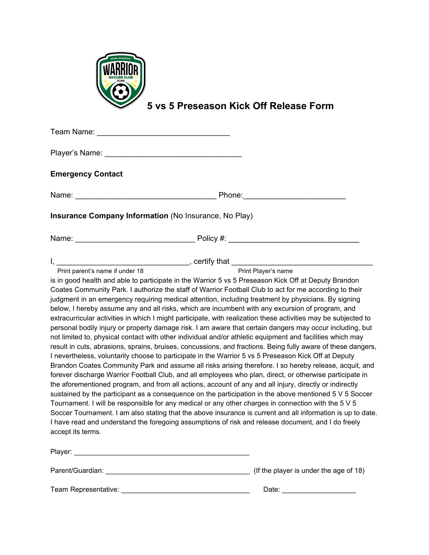

**5 vs 5 Preseason Kick Off Release Form**

| Team Name: Name: Name State of the Manual Assembly and the Manual Assembly and the Manual Assembly and the Manual Assembly and the Manual Assembly and the Manual Assembly and the Manual Assembly and the Manual Assembly and |                                                                                                                                                                                                                                                                                                                                                                                                                                                                                                                                                                                                                                                                                                                                                                                                                                                                                                                                                                                                                                                                                                                                                                                                                                                                                                                                                                                                                                            |
|--------------------------------------------------------------------------------------------------------------------------------------------------------------------------------------------------------------------------------|--------------------------------------------------------------------------------------------------------------------------------------------------------------------------------------------------------------------------------------------------------------------------------------------------------------------------------------------------------------------------------------------------------------------------------------------------------------------------------------------------------------------------------------------------------------------------------------------------------------------------------------------------------------------------------------------------------------------------------------------------------------------------------------------------------------------------------------------------------------------------------------------------------------------------------------------------------------------------------------------------------------------------------------------------------------------------------------------------------------------------------------------------------------------------------------------------------------------------------------------------------------------------------------------------------------------------------------------------------------------------------------------------------------------------------------------|
|                                                                                                                                                                                                                                |                                                                                                                                                                                                                                                                                                                                                                                                                                                                                                                                                                                                                                                                                                                                                                                                                                                                                                                                                                                                                                                                                                                                                                                                                                                                                                                                                                                                                                            |
| <b>Emergency Contact</b>                                                                                                                                                                                                       |                                                                                                                                                                                                                                                                                                                                                                                                                                                                                                                                                                                                                                                                                                                                                                                                                                                                                                                                                                                                                                                                                                                                                                                                                                                                                                                                                                                                                                            |
|                                                                                                                                                                                                                                |                                                                                                                                                                                                                                                                                                                                                                                                                                                                                                                                                                                                                                                                                                                                                                                                                                                                                                                                                                                                                                                                                                                                                                                                                                                                                                                                                                                                                                            |
| Insurance Company Information (No Insurance, No Play)                                                                                                                                                                          |                                                                                                                                                                                                                                                                                                                                                                                                                                                                                                                                                                                                                                                                                                                                                                                                                                                                                                                                                                                                                                                                                                                                                                                                                                                                                                                                                                                                                                            |
|                                                                                                                                                                                                                                |                                                                                                                                                                                                                                                                                                                                                                                                                                                                                                                                                                                                                                                                                                                                                                                                                                                                                                                                                                                                                                                                                                                                                                                                                                                                                                                                                                                                                                            |
| Print parent's name if under 18                                                                                                                                                                                                | Print Player's name<br>is in good health and able to participate in the Warrior 5 vs 5 Preseason Kick Off at Deputy Brandon<br>Coates Community Park. I authorize the staff of Warrior Football Club to act for me according to their<br>judgment in an emergency requiring medical attention, including treatment by physicians. By signing                                                                                                                                                                                                                                                                                                                                                                                                                                                                                                                                                                                                                                                                                                                                                                                                                                                                                                                                                                                                                                                                                               |
| accept its terms.                                                                                                                                                                                                              | below, I hereby assume any and all risks, which are incumbent with any excursion of program, and<br>extracurricular activities in which I might participate, with realization these activities may be subjected to<br>personal bodily injury or property damage risk. I am aware that certain dangers may occur including, but<br>not limited to, physical contact with other individual and/or athletic equipment and facilities which may<br>result in cuts, abrasions, sprains, bruises, concussions, and fractions. Being fully aware of these dangers,<br>I nevertheless, voluntarily choose to participate in the Warrior 5 vs 5 Preseason Kick Off at Deputy<br>Brandon Coates Community Park and assume all risks arising therefore. I so hereby release, acquit, and<br>forever discharge Warrior Football Club, and all employees who plan, direct, or otherwise participate in<br>the aforementioned program, and from all actions, account of any and all injury, directly or indirectly<br>sustained by the participant as a consequence on the participation in the above mentioned 5 V 5 Soccer<br>Tournament. I will be responsible for any medical or any other charges in connection with the 5 V 5<br>Soccer Tournament. I am also stating that the above insurance is current and all information is up to date.<br>I have read and understand the foregoing assumptions of risk and release document, and I do freely |
|                                                                                                                                                                                                                                |                                                                                                                                                                                                                                                                                                                                                                                                                                                                                                                                                                                                                                                                                                                                                                                                                                                                                                                                                                                                                                                                                                                                                                                                                                                                                                                                                                                                                                            |

Parent/Guardian: \_\_\_\_\_\_\_\_\_\_\_\_\_\_\_\_\_\_\_\_\_\_\_\_\_\_\_\_\_\_\_\_\_\_\_\_\_ (If the player is under the age of 18)

Team Representative: \_\_\_\_\_\_\_\_\_\_\_\_\_\_\_\_\_\_\_\_\_\_\_\_\_\_\_\_\_\_\_\_\_ Date: \_\_\_\_\_\_\_\_\_\_\_\_\_\_\_\_\_\_\_